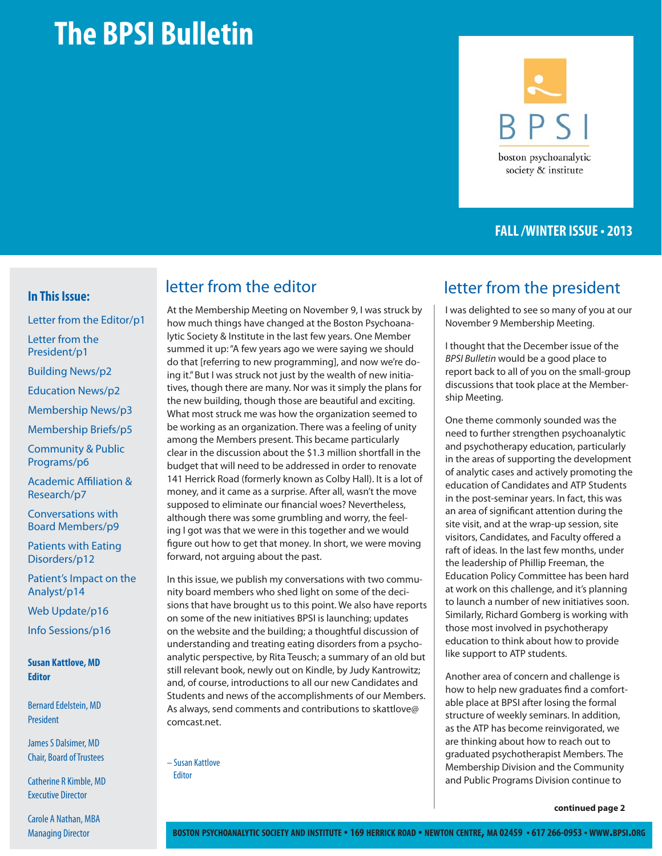# **The BPSI Bulletin**

# **BPSI** boston psychoanalytic society & institute

### **FALL /WINTER ISSUE • 2013**

#### **In This Issue:**

Letter from the Editor/p1 Letter from the President/p1 Building News/p2 Education News/p2 Membership News/p3 Membership Briefs/p5 Community & Public Programs/p6

**Academic Affiliation &** Research/p7

Conversations with Board Members/p9

Patients with Eating Disorders/p12

Patient's Impact on the Analyst/p14

Web Update/p16

Info Sessions/p16

**Susan Kattlove, MD Editor**

Bernard Edelstein, MD President

James S Dalsimer, MD Chair, Board of Trustees

Catherine R Kimble, MD Executive Director

Carole A Nathan, MBA Managing Director

At the Membership Meeting on November 9, I was struck by how much things have changed at the Boston Psychoanalytic Society & Institute in the last few years. One Member summed it up: "A few years ago we were saying we should do that [referring to new programming], and now we're doing it." But I was struck not just by the wealth of new initiatives, though there are many. Nor was it simply the plans for the new building, though those are beautiful and exciting. What most struck me was how the organization seemed to be working as an organization. There was a feeling of unity among the Members present. This became particularly clear in the discussion about the \$1.3 million shortfall in the budget that will need to be addressed in order to renovate 141 Herrick Road (formerly known as Colby Hall). It is a lot of money, and it came as a surprise. After all, wasn't the move supposed to eliminate our financial woes? Nevertheless, although there was some grumbling and worry, the feeling I got was that we were in this together and we would figure out how to get that money. In short, we were moving forward, not arguing about the past.

In this issue, we publish my conversations with two community board members who shed light on some of the decisions that have brought us to this point. We also have reports on some of the new initiatives BPSI is launching; updates on the website and the building; a thoughtful discussion of understanding and treating eating disorders from a psychoanalytic perspective, by Rita Teusch; a summary of an old but still relevant book, newly out on Kindle, by Judy Kantrowitz; and, of course, introductions to all our new Candidates and Students and news of the accomplishments of our Members. As always, send comments and contributions to skattlove@ comcast.net.

– Susan Kattlove **Editor** 

### letter from the editor and letter from the president

I was delighted to see so many of you at our November 9 Membership Meeting.

I thought that the December issue of the BPSI Bulletin would be a good place to report back to all of you on the small-group discussions that took place at the Membership Meeting.

One theme commonly sounded was the need to further strengthen psychoanalytic and psychotherapy education, particularly in the areas of supporting the development of analytic cases and actively promoting the education of Candidates and ATP Students in the post-seminar years. In fact, this was an area of significant attention during the site visit, and at the wrap-up session, site visitors, Candidates, and Faculty offered a raft of ideas. In the last few months, under the leadership of Phillip Freeman, the Education Policy Committee has been hard at work on this challenge, and it's planning to launch a number of new initiatives soon. Similarly, Richard Gomberg is working with those most involved in psychotherapy education to think about how to provide like support to ATP students.

Another area of concern and challenge is how to help new graduates find a comfortable place at BPSI after losing the formal structure of weekly seminars. In addition, as the ATP has become reinvigorated, we are thinking about how to reach out to graduated psychotherapist Members. The Membership Division and the Community and Public Programs Division continue to

**continued page 2**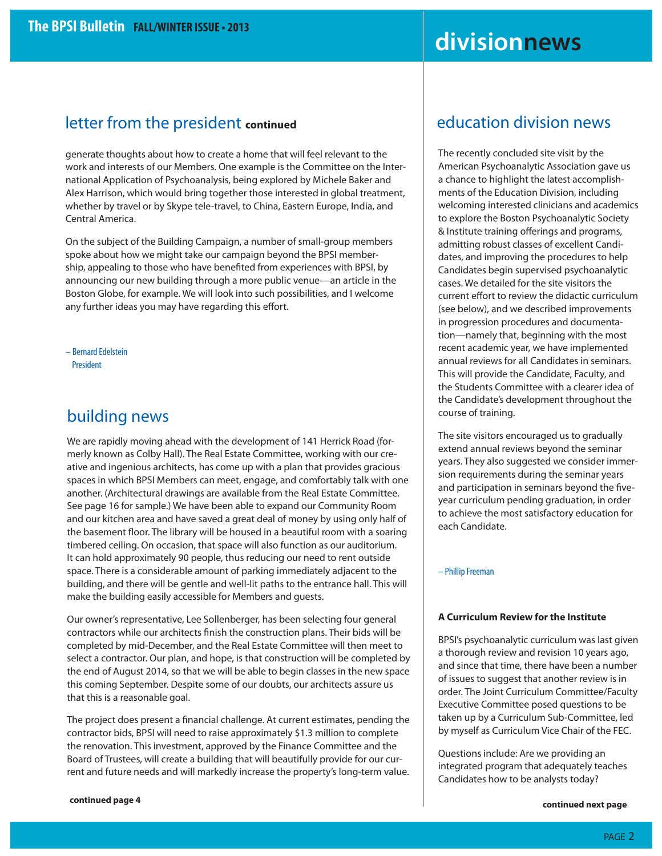## **divisionnews**

### letter from the president **continued**

generate thoughts about how to create a home that will feel relevant to the work and interests of our Members. One example is the Committee on the International Application of Psychoanalysis, being explored by Michele Baker and Alex Harrison, which would bring together those interested in global treatment, whether by travel or by Skype tele-travel, to China, Eastern Europe, India, and Central America.

On the subject of the Building Campaign, a number of small-group members spoke about how we might take our campaign beyond the BPSI membership, appealing to those who have benefited from experiences with BPSI, by announcing our new building through a more public venue—an article in the Boston Globe, for example. We will look into such possibilities, and I welcome any further ideas you may have regarding this effort.

– Bernard Edelstein President

### building news

We are rapidly moving ahead with the development of 141 Herrick Road (formerly known as Colby Hall). The Real Estate Committee, working with our creative and ingenious architects, has come up with a plan that provides gracious spaces in which BPSI Members can meet, engage, and comfortably talk with one another. (Architectural drawings are available from the Real Estate Committee. See page 16 for sample.) We have been able to expand our Community Room and our kitchen area and have saved a great deal of money by using only half of the basement floor. The library will be housed in a beautiful room with a soaring timbered ceiling. On occasion, that space will also function as our auditorium. It can hold approximately 90 people, thus reducing our need to rent outside space. There is a considerable amount of parking immediately adjacent to the building, and there will be gentle and well-lit paths to the entrance hall. This will make the building easily accessible for Members and guests.

Our owner's representative, Lee Sollenberger, has been selecting four general contractors while our architects finish the construction plans. Their bids will be completed by mid-December, and the Real Estate Committee will then meet to select a contractor. Our plan, and hope, is that construction will be completed by the end of August 2014, so that we will be able to begin classes in the new space this coming September. Despite some of our doubts, our architects assure us that this is a reasonable goal.

The project does present a financial challenge. At current estimates, pending the contractor bids, BPSI will need to raise approximately \$1.3 million to complete the renovation. This investment, approved by the Finance Committee and the Board of Trustees, will create a building that will beautifully provide for our current and future needs and will markedly increase the property's long-term value.

The recently concluded site visit by the American Psychoanalytic Association gave us a chance to highlight the latest accomplishments of the Education Division, including welcoming interested clinicians and academics to explore the Boston Psychoanalytic Society & Institute training offerings and programs, admitting robust classes of excellent Candidates, and improving the procedures to help Candidates begin supervised psychoanalytic cases. We detailed for the site visitors the current effort to review the didactic curriculum (see below), and we described improvements in progression procedures and documentation—namely that, beginning with the most recent academic year, we have implemented annual reviews for all Candidates in seminars. This will provide the Candidate, Faculty, and the Students Committee with a clearer idea of the Candidate's development throughout the course of training.

The site visitors encouraged us to gradually extend annual reviews beyond the seminar years. They also suggested we consider immersion requirements during the seminar years and participation in seminars beyond the fiveyear curriculum pending graduation, in order to achieve the most satisfactory education for each Candidate.

#### – Phillip Freeman

#### **A Curriculum Review for the Institute**

BPSI's psychoanalytic curriculum was last given a thorough review and revision 10 years ago, and since that time, there have been a number of issues to suggest that another review is in order. The Joint Curriculum Committee/Faculty Executive Committee posed questions to be taken up by a Curriculum Sub-Committee, led by myself as Curriculum Vice Chair of the FEC.

Questions include: Are we providing an integrated program that adequately teaches Candidates how to be analysts today?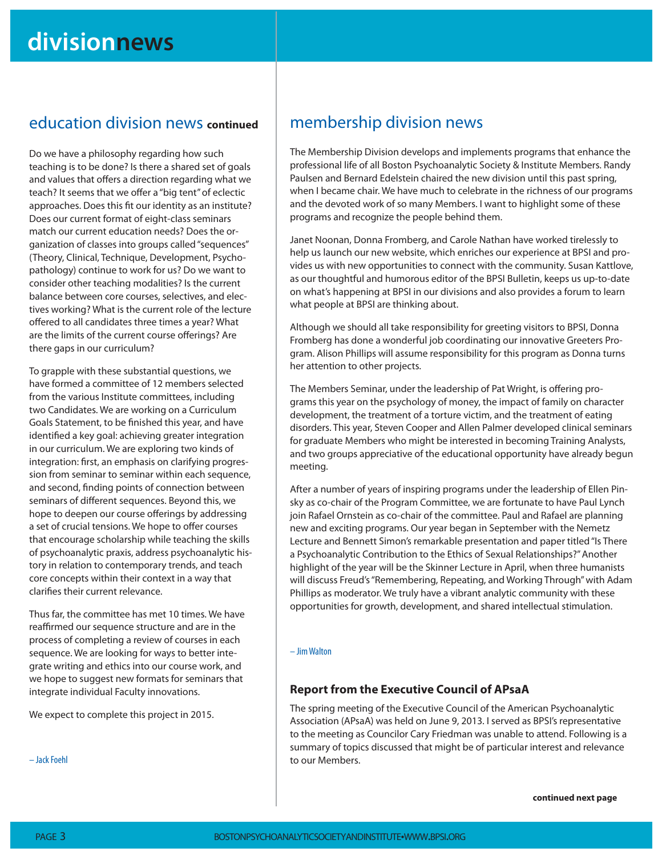### education division news **continued**

Do we have a philosophy regarding how such teaching is to be done? Is there a shared set of goals and values that offers a direction regarding what we teach? It seems that we offer a "big tent" of eclectic approaches. Does this fit our identity as an institute? Does our current format of eight-class seminars match our current education needs? Does the organization of classes into groups called "sequences" (Theory, Clinical, Technique, Development, Psychopathology) continue to work for us? Do we want to consider other teaching modalities? Is the current balance between core courses, selectives, and electives working? What is the current role of the lecture offered to all candidates three times a year? What are the limits of the current course offerings? Are there gaps in our curriculum?

To grapple with these substantial questions, we have formed a committee of 12 members selected from the various Institute committees, including two Candidates. We are working on a Curriculum Goals Statement, to be finished this year, and have identified a key goal: achieving greater integration in our curriculum. We are exploring two kinds of integration: first, an emphasis on clarifying progression from seminar to seminar within each sequence, and second, finding points of connection between seminars of different sequences. Beyond this, we hope to deepen our course offerings by addressing a set of crucial tensions. We hope to offer courses that encourage scholarship while teaching the skills of psychoanalytic praxis, address psychoanalytic history in relation to contemporary trends, and teach core concepts within their context in a way that clarifies their current relevance.

Thus far, the committee has met 10 times. We have reaffirmed our sequence structure and are in the process of completing a review of courses in each sequence. We are looking for ways to better integrate writing and ethics into our course work, and we hope to suggest new formats for seminars that integrate individual Faculty innovations.

We expect to complete this project in 2015.

– Jack Foehl

PAGE 3

### membership division news

The Membership Division develops and implements programs that enhance the professional life of all Boston Psychoanalytic Society & Institute Members. Randy Paulsen and Bernard Edelstein chaired the new division until this past spring, when I became chair. We have much to celebrate in the richness of our programs and the devoted work of so many Members. I want to highlight some of these programs and recognize the people behind them.

Janet Noonan, Donna Fromberg, and Carole Nathan have worked tirelessly to help us launch our new website, which enriches our experience at BPSI and provides us with new opportunities to connect with the community. Susan Kattlove, as our thoughtful and humorous editor of the BPSI Bulletin, keeps us up-to-date on what's happening at BPSI in our divisions and also provides a forum to learn what people at BPSI are thinking about.

Although we should all take responsibility for greeting visitors to BPSI, Donna Fromberg has done a wonderful job coordinating our innovative Greeters Program. Alison Phillips will assume responsibility for this program as Donna turns her attention to other projects.

The Members Seminar, under the leadership of Pat Wright, is offering programs this year on the psychology of money, the impact of family on character development, the treatment of a torture victim, and the treatment of eating disorders. This year, Steven Cooper and Allen Palmer developed clinical seminars for graduate Members who might be interested in becoming Training Analysts, and two groups appreciative of the educational opportunity have already begun meeting.

After a number of years of inspiring programs under the leadership of Ellen Pinsky as co-chair of the Program Committee, we are fortunate to have Paul Lynch join Rafael Ornstein as co-chair of the committee. Paul and Rafael are planning new and exciting programs. Our year began in September with the Nemetz Lecture and Bennett Simon's remarkable presentation and paper titled "Is There a Psychoanalytic Contribution to the Ethics of Sexual Relationships?" Another highlight of the year will be the Skinner Lecture in April, when three humanists will discuss Freud's "Remembering, Repeating, and Working Through" with Adam Phillips as moderator. We truly have a vibrant analytic community with these opportunities for growth, development, and shared intellectual stimulation.

#### – Jim Walton

#### **Report from the Executive Council of APsaA**

The spring meeting of the Executive Council of the American Psychoanalytic Association (APsaA) was held on June 9, 2013. I served as BPSI's representative to the meeting as Councilor Cary Friedman was unable to attend. Following is a summary of topics discussed that might be of particular interest and relevance to our Members.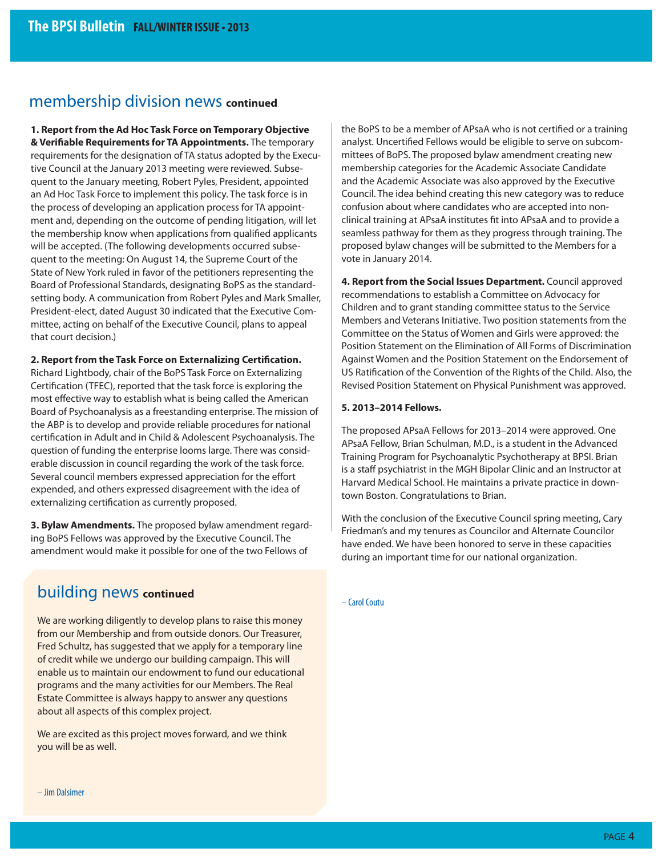### membership division news **continued**

**1. Report from the Ad Hoc Task Force on Temporary Objective & Verifiable Requirements for TA Appointments.** The temporary requirements for the designation of TA status adopted by the Executive Council at the January 2013 meeting were reviewed. Subsequent to the January meeting, Robert Pyles, President, appointed an Ad Hoc Task Force to implement this policy. The task force is in the process of developing an application process for TA appointment and, depending on the outcome of pending litigation, will let the membership know when applications from qualified applicants will be accepted. (The following developments occurred subsequent to the meeting: On August 14, the Supreme Court of the State of New York ruled in favor of the petitioners representing the Board of Professional Standards, designating BoPS as the standardsetting body. A communication from Robert Pyles and Mark Smaller, President-elect, dated August 30 indicated that the Executive Committee, acting on behalf of the Executive Council, plans to appeal that court decision.)

#### **2. Report from the Task Force on Externalizing Certification.**

Richard Lightbody, chair of the BoPS Task Force on Externalizing Certification (TFEC), reported that the task force is exploring the most effective way to establish what is being called the American Board of Psychoanalysis as a freestanding enterprise. The mission of the ABP is to develop and provide reliable procedures for national certification in Adult and in Child & Adolescent Psychoanalysis. The question of funding the enterprise looms large. There was considerable discussion in council regarding the work of the task force. Several council members expressed appreciation for the effort expended, and others expressed disagreement with the idea of externalizing certification as currently proposed.

**3. Bylaw Amendments.** The proposed bylaw amendment regarding BoPS Fellows was approved by the Executive Council. The amendment would make it possible for one of the two Fellows of

### building news **continued**

We are working diligently to develop plans to raise this money from our Membership and from outside donors. Our Treasurer, Fred Schultz, has suggested that we apply for a temporary line of credit while we undergo our building campaign. This will enable us to maintain our endowment to fund our educational programs and the many activities for our Members. The Real Estate Committee is always happy to answer any questions about all aspects of this complex project.

We are excited as this project moves forward, and we think you will be as well.

the BoPS to be a member of APsaA who is not certified or a training analyst. Uncertified Fellows would be eligible to serve on subcommittees of BoPS. The proposed bylaw amendment creating new membership categories for the Academic Associate Candidate and the Academic Associate was also approved by the Executive Council. The idea behind creating this new category was to reduce confusion about where candidates who are accepted into nonclinical training at APsaA institutes fit into APsaA and to provide a seamless pathway for them as they progress through training. The proposed bylaw changes will be submitted to the Members for a vote in January 2014.

**4. Report from the Social Issues Department.** Council approved recommendations to establish a Committee on Advocacy for Children and to grant standing committee status to the Service Members and Veterans Initiative. Two position statements from the Committee on the Status of Women and Girls were approved: the Position Statement on the Elimination of All Forms of Discrimination Against Women and the Position Statement on the Endorsement of US Ratification of the Convention of the Rights of the Child. Also, the Revised Position Statement on Physical Punishment was approved.

#### **5. 2013–2014 Fellows.**

The proposed APsaA Fellows for 2013–2014 were approved. One APsaA Fellow, Brian Schulman, M.D., is a student in the Advanced Training Program for Psychoanalytic Psychotherapy at BPSI. Brian is a staff psychiatrist in the MGH Bipolar Clinic and an Instructor at Harvard Medical School. He maintains a private practice in downtown Boston. Congratulations to Brian.

With the conclusion of the Executive Council spring meeting, Cary Friedman's and my tenures as Councilor and Alternate Councilor have ended. We have been honored to serve in these capacities during an important time for our national organization.

– Carol Coutu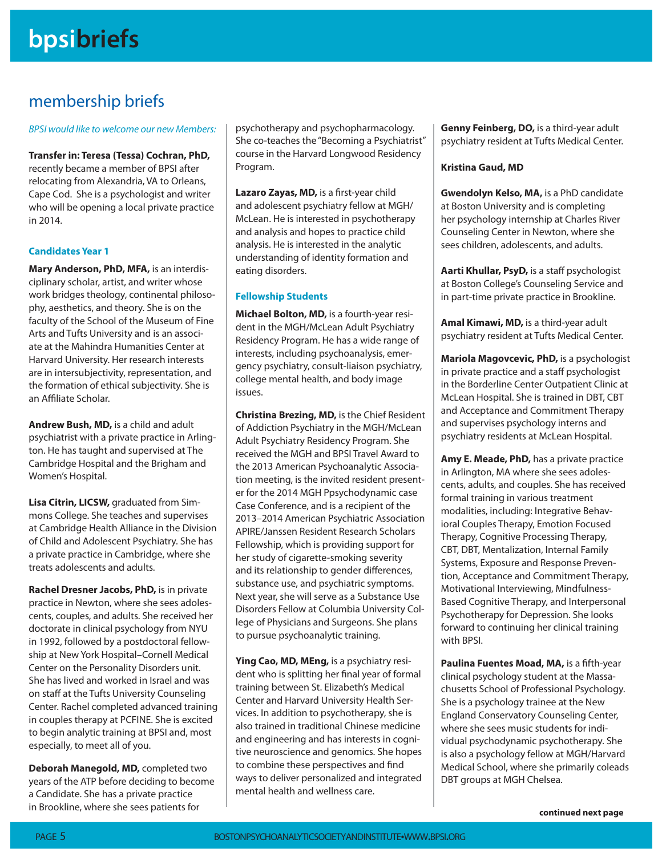### membership briefs

BPSI would like to welcome our new Members:

**Transfer in: Teresa (Tessa) Cochran, PhD,** recently became a member of BPSI after relocating from Alexandria, VA to Orleans, Cape Cod. She is a psychologist and writer who will be opening a local private practice in 2014.

#### **Candidates Year 1**

**Mary Anderson, PhD, MFA,** is an interdisciplinary scholar, artist, and writer whose work bridges theology, continental philosophy, aesthetics, and theory. She is on the faculty of the School of the Museum of Fine Arts and Tufts University and is an associate at the Mahindra Humanities Center at Harvard University. Her research interests are in intersubjectivity, representation, and the formation of ethical subjectivity. She is an Affiliate Scholar.

**Andrew Bush, MD,** is a child and adult psychiatrist with a private practice in Arlington. He has taught and supervised at The Cambridge Hospital and the Brigham and Women's Hospital.

**Lisa Citrin, LICSW,** graduated from Simmons College. She teaches and supervises at Cambridge Health Alliance in the Division of Child and Adolescent Psychiatry. She has a private practice in Cambridge, where she treats adolescents and adults.

**Rachel Dresner Jacobs, PhD,** is in private practice in Newton, where she sees adolescents, couples, and adults. She received her doctorate in clinical psychology from NYU in 1992, followed by a postdoctoral fellowship at New York Hospital–Cornell Medical Center on the Personality Disorders unit. She has lived and worked in Israel and was on staff at the Tufts University Counseling Center. Rachel completed advanced training in couples therapy at PCFINE. She is excited to begin analytic training at BPSI and, most especially, to meet all of you.

**Deborah Manegold, MD,** completed two years of the ATP before deciding to become a Candidate. She has a private practice in Brookline, where she sees patients for

psychotherapy and psychopharmacology. She co-teaches the "Becoming a Psychiatrist" course in the Harvard Longwood Residency Program.

Lazaro Zayas, MD, is a first-year child and adolescent psychiatry fellow at MGH/ McLean. He is interested in psychotherapy and analysis and hopes to practice child analysis. He is interested in the analytic understanding of identity formation and eating disorders.

#### **Fellowship Students**

**Michael Bolton, MD,** is a fourth-year resident in the MGH/McLean Adult Psychiatry Residency Program. He has a wide range of interests, including psychoanalysis, emergency psychiatry, consult-liaison psychiatry, college mental health, and body image issues.

**Christina Brezing, MD,** is the Chief Resident of Addiction Psychiatry in the MGH/McLean Adult Psychiatry Residency Program. She received the MGH and BPSI Travel Award to the 2013 American Psychoanalytic Association meeting, is the invited resident presenter for the 2014 MGH Ppsychodynamic case Case Conference, and is a recipient of the 2013–2014 American Psychiatric Association APIRE/Janssen Resident Research Scholars Fellowship, which is providing support for her study of cigarette-smoking severity and its relationship to gender differences, substance use, and psychiatric symptoms. Next year, she will serve as a Substance Use Disorders Fellow at Columbia University College of Physicians and Surgeons. She plans to pursue psychoanalytic training.

**Ying Cao, MD, MEng,** is a psychiatry resident who is splitting her final year of formal training between St. Elizabeth's Medical Center and Harvard University Health Services. In addition to psychotherapy, she is also trained in traditional Chinese medicine and engineering and has interests in cognitive neuroscience and genomics. She hopes to combine these perspectives and find ways to deliver personalized and integrated mental health and wellness care.

**Genny Feinberg, DO,** is a third-year adult psychiatry resident at Tufts Medical Center.

#### **Kristina Gaud, MD**

**Gwendolyn Kelso, MA,** is a PhD candidate at Boston University and is completing her psychology internship at Charles River Counseling Center in Newton, where she sees children, adolescents, and adults.

**Aarti Khullar, PsyD,** is a staff psychologist at Boston College's Counseling Service and in part-time private practice in Brookline.

**Amal Kimawi, MD,** is a third-year adult psychiatry resident at Tufts Medical Center.

**Mariola Magovcevic, PhD,** is a psychologist in private practice and a staff psychologist in the Borderline Center Outpatient Clinic at McLean Hospital. She is trained in DBT, CBT and Acceptance and Commitment Therapy and supervises psychology interns and psychiatry residents at McLean Hospital.

**Amy E. Meade, PhD,** has a private practice in Arlington, MA where she sees adolescents, adults, and couples. She has received formal training in various treatment modalities, including: Integrative Behavioral Couples Therapy, Emotion Focused Therapy, Cognitive Processing Therapy, CBT, DBT, Mentalization, Internal Family Systems, Exposure and Response Prevention, Acceptance and Commitment Therapy, Motivational Interviewing, Mindfulness-Based Cognitive Therapy, and Interpersonal Psychotherapy for Depression. She looks forward to continuing her clinical training with BPSI.

**Paulina Fuentes Moad, MA, is a fifth-year** clinical psychology student at the Massachusetts School of Professional Psychology. She is a psychology trainee at the New England Conservatory Counseling Center, where she sees music students for individual psychodynamic psychotherapy. She is also a psychology fellow at MGH/Harvard Medical School, where she primarily coleads DBT groups at MGH Chelsea.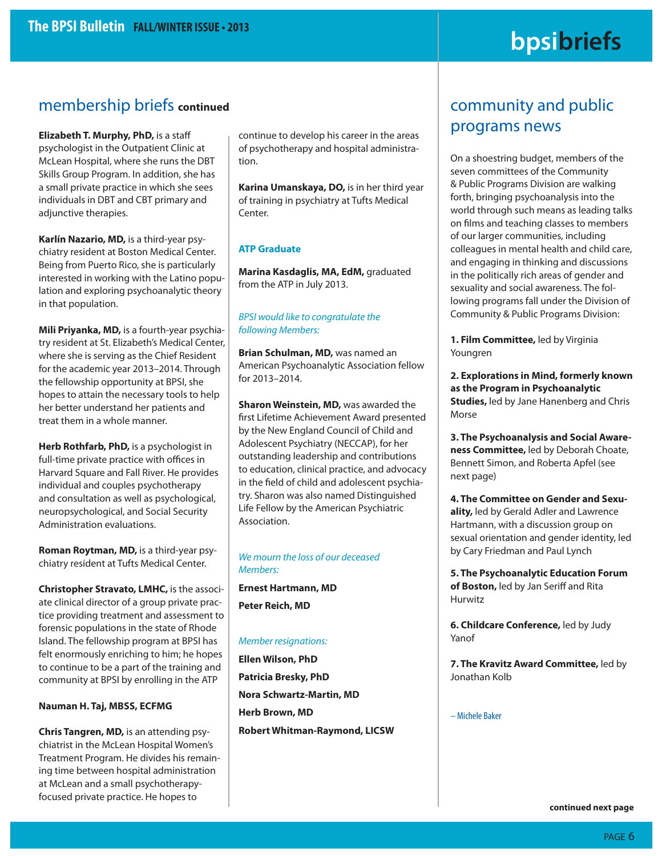# **bpsibriefs**

### membership briefs **continued**

**Elizabeth T. Murphy, PhD,** is a staff psychologist in the Outpatient Clinic at McLean Hospital, where she runs the DBT Skills Group Program. In addition, she has a small private practice in which she sees individuals in DBT and CBT primary and adjunctive therapies.

**Karlín Nazario, MD,** is a third-year psychiatry resident at Boston Medical Center. Being from Puerto Rico, she is particularly interested in working with the Latino population and exploring psychoanalytic theory in that population.

**Mili Priyanka, MD,** is a fourth-year psychiatry resident at St. Elizabeth's Medical Center, where she is serving as the Chief Resident for the academic year 2013–2014. Through the fellowship opportunity at BPSI, she hopes to attain the necessary tools to help her better understand her patients and treat them in a whole manner.

**Herb Rothfarb, PhD,** is a psychologist in full-time private practice with offices in Harvard Square and Fall River. He provides individual and couples psychotherapy and consultation as well as psychological, neuropsychological, and Social Security Administration evaluations.

**Roman Roytman, MD,** is a third-year psychiatry resident at Tufts Medical Center.

**Christopher Stravato, LMHC,** is the associate clinical director of a group private practice providing treatment and assessment to forensic populations in the state of Rhode Island. The fellowship program at BPSI has felt enormously enriching to him; he hopes to continue to be a part of the training and community at BPSI by enrolling in the ATP

#### **Nauman H. Taj, MBSS, ECFMG**

**Chris Tangren, MD,** is an attending psychiatrist in the McLean Hospital Women's Treatment Program. He divides his remaining time between hospital administration at McLean and a small psychotherapyfocused private practice. He hopes to

continue to develop his career in the areas of psychotherapy and hospital administration.

**Karina Umanskaya, DO,** is in her third year of training in psychiatry at Tufts Medical Center.

#### **ATP Graduate**

**Marina Kasdaglis, MA, EdM,** graduated from the ATP in July 2013.

#### BPSI would like to congratulate the following Members:

**Brian Schulman, MD,** was named an American Psychoanalytic Association fellow for 2013–2014.

**Sharon Weinstein, MD,** was awarded the first Lifetime Achievement Award presented by the New England Council of Child and Adolescent Psychiatry (NECCAP), for her outstanding leadership and contributions to education, clinical practice, and advocacy in the field of child and adolescent psychiatry. Sharon was also named Distinguished Life Fellow by the American Psychiatric Association.

#### We mourn the loss of our deceased Members:

**Ernest Hartmann, MD Peter Reich, MD**

#### Member resignations:

**Ellen Wilson, PhD Patricia Bresky, PhD Nora Schwartz-Martin, MD Herb Brown, MD Robert Whitman-Raymond, LICSW**

### community and public programs news

On a shoestring budget, members of the seven committees of the Community & Public Programs Division are walking forth, bringing psychoanalysis into the world through such means as leading talks on films and teaching classes to members of our larger communities, including colleagues in mental health and child care, and engaging in thinking and discussions in the politically rich areas of gender and sexuality and social awareness. The following programs fall under the Division of Community & Public Programs Division:

**1. Film Committee,** led by Virginia Youngren

**2. Explorations in Mind, formerly known as the Program in Psychoanalytic Studies,** led by Jane Hanenberg and Chris Morse

**3. The Psychoanalysis and Social Awareness Committee,** led by Deborah Choate, Bennett Simon, and Roberta Apfel (see next page)

**4. The Committee on Gender and Sexuality,** led by Gerald Adler and Lawrence Hartmann, with a discussion group on sexual orientation and gender identity, led by Cary Friedman and Paul Lynch

**5. The Psychoanalytic Education Forum of Boston,** led by Jan Seriff and Rita Hurwitz

**6. Childcare Conference,** led by Judy Yanof

**7. The Kravitz Award Committee,** led by Jonathan Kolb

– Michele Baker

**continued next page**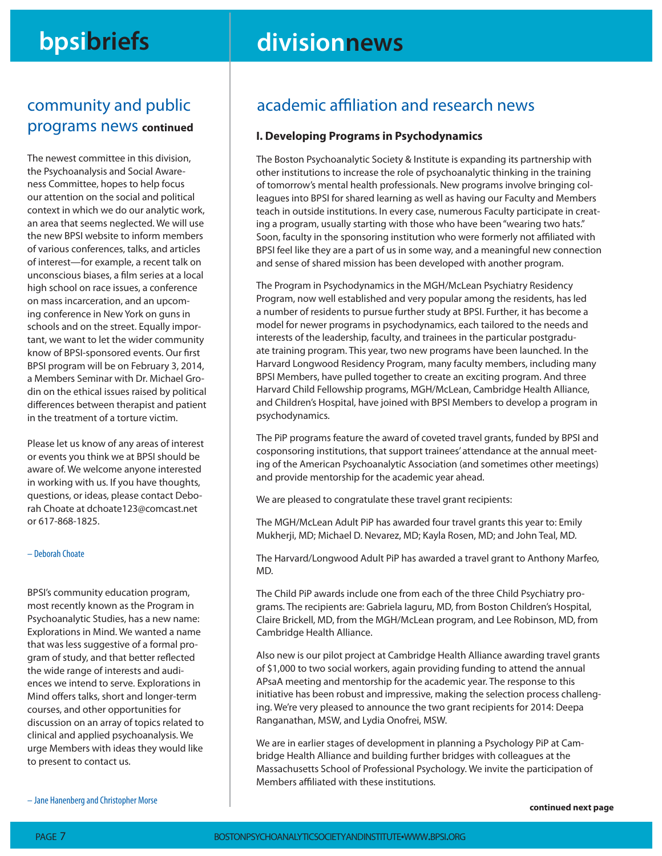# **bpsibriefs divisionnews**

### community and public programs news **continued**

The newest committee in this division, the Psychoanalysis and Social Awareness Committee, hopes to help focus our attention on the social and political context in which we do our analytic work, an area that seems neglected. We will use the new BPSI website to inform members of various conferences, talks, and articles of interest—for example, a recent talk on unconscious biases, a film series at a local high school on race issues, a conference on mass incarceration, and an upcoming conference in New York on guns in schools and on the street. Equally important, we want to let the wider community know of BPSI-sponsored events. Our first BPSI program will be on February 3, 2014, a Members Seminar with Dr. Michael Grodin on the ethical issues raised by political differences between therapist and patient in the treatment of a torture victim.

Please let us know of any areas of interest or events you think we at BPSI should be aware of. We welcome anyone interested in working with us. If you have thoughts, questions, or ideas, please contact Deborah Choate at dchoate123@comcast.net or 617-868-1825.

#### – Deborah Choate

BPSI's community education program, most recently known as the Program in Psychoanalytic Studies, has a new name: Explorations in Mind. We wanted a name that was less suggestive of a formal program of study, and that better reflected the wide range of interests and audiences we intend to serve. Explorations in Mind offers talks, short and longer-term courses, and other opportunities for discussion on an array of topics related to clinical and applied psychoanalysis. We urge Members with ideas they would like to present to contact us.

academic affiliation and research news

#### **I. Developing Programs in Psychodynamics**

The Boston Psychoanalytic Society & Institute is expanding its partnership with other institutions to increase the role of psychoanalytic thinking in the training of tomorrow's mental health professionals. New programs involve bringing colleagues into BPSI for shared learning as well as having our Faculty and Members teach in outside institutions. In every case, numerous Faculty participate in creating a program, usually starting with those who have been "wearing two hats." Soon, faculty in the sponsoring institution who were formerly not affiliated with BPSI feel like they are a part of us in some way, and a meaningful new connection and sense of shared mission has been developed with another program.

The Program in Psychodynamics in the MGH/McLean Psychiatry Residency Program, now well established and very popular among the residents, has led a number of residents to pursue further study at BPSI. Further, it has become a model for newer programs in psychodynamics, each tailored to the needs and interests of the leadership, faculty, and trainees in the particular postgraduate training program. This year, two new programs have been launched. In the Harvard Longwood Residency Program, many faculty members, including many BPSI Members, have pulled together to create an exciting program. And three Harvard Child Fellowship programs, MGH/McLean, Cambridge Health Alliance, and Children's Hospital, have joined with BPSI Members to develop a program in psychodynamics.

The PiP programs feature the award of coveted travel grants, funded by BPSI and cosponsoring institutions, that support trainees' attendance at the annual meeting of the American Psychoanalytic Association (and sometimes other meetings) and provide mentorship for the academic year ahead.

We are pleased to congratulate these travel grant recipients:

The MGH/McLean Adult PiP has awarded four travel grants this year to: Emily Mukherji, MD; Michael D. Nevarez, MD; Kayla Rosen, MD; and John Teal, MD.

The Harvard/Longwood Adult PiP has awarded a travel grant to Anthony Marfeo, MD.

The Child PiP awards include one from each of the three Child Psychiatry programs. The recipients are: Gabriela Iaguru, MD, from Boston Children's Hospital, Claire Brickell, MD, from the MGH/McLean program, and Lee Robinson, MD, from Cambridge Health Alliance.

Also new is our pilot project at Cambridge Health Alliance awarding travel grants of \$1,000 to two social workers, again providing funding to attend the annual APsaA meeting and mentorship for the academic year. The response to this initiative has been robust and impressive, making the selection process challenging. We're very pleased to announce the two grant recipients for 2014: Deepa Ranganathan, MSW, and Lydia Onofrei, MSW.

We are in earlier stages of development in planning a Psychology PiP at Cambridge Health Alliance and building further bridges with colleagues at the Massachusetts School of Professional Psychology. We invite the participation of Members affiliated with these institutions.

**continued next page** 

– Jane Hanenberg and Christopher Morse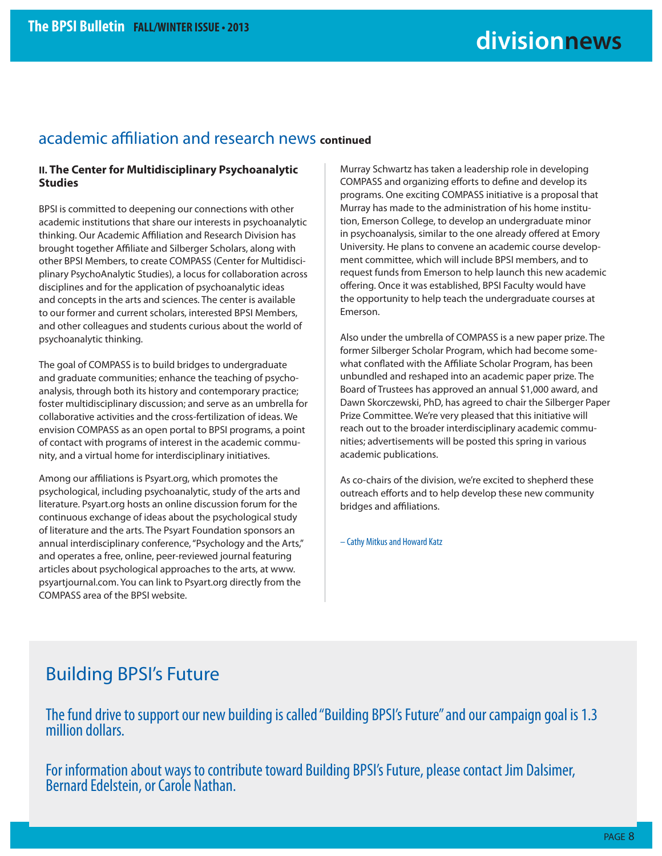### academic affiliation and research news **continued**

#### **II. The Center for Multidisciplinary Psychoanalytic Studies**

BPSI is committed to deepening our connections with other academic institutions that share our interests in psychoanalytic thinking. Our Academic Affiliation and Research Division has brought together Affiliate and Silberger Scholars, along with other BPSI Members, to create COMPASS (Center for Multidisciplinary PsychoAnalytic Studies), a locus for collaboration across disciplines and for the application of psychoanalytic ideas and concepts in the arts and sciences. The center is available to our former and current scholars, interested BPSI Members, and other colleagues and students curious about the world of psychoanalytic thinking.

The goal of COMPASS is to build bridges to undergraduate and graduate communities; enhance the teaching of psychoanalysis, through both its history and contemporary practice; foster multidisciplinary discussion; and serve as an umbrella for collaborative activities and the cross-fertilization of ideas. We envision COMPASS as an open portal to BPSI programs, a point of contact with programs of interest in the academic community, and a virtual home for interdisciplinary initiatives.

Among our affiliations is Psyart.org, which promotes the psychological, including psychoanalytic, study of the arts and literature. Psyart.org hosts an online discussion forum for the continuous exchange of ideas about the psychological study of literature and the arts. The Psyart Foundation sponsors an annual interdisciplinary conference, "Psychology and the Arts," and operates a free, online, peer-reviewed journal featuring articles about psychological approaches to the arts, at www. psyartjournal.com. You can link to Psyart.org directly from the COMPASS area of the BPSI website.

Murray Schwartz has taken a leadership role in developing COMPASS and organizing efforts to define and develop its programs. One exciting COMPASS initiative is a proposal that Murray has made to the administration of his home institution, Emerson College, to develop an undergraduate minor in psychoanalysis, similar to the one already offered at Emory University. He plans to convene an academic course development committee, which will include BPSI members, and to request funds from Emerson to help launch this new academic offering. Once it was established, BPSI Faculty would have the opportunity to help teach the undergraduate courses at Emerson.

Also under the umbrella of COMPASS is a new paper prize. The former Silberger Scholar Program, which had become somewhat conflated with the Affiliate Scholar Program, has been unbundled and reshaped into an academic paper prize. The Board of Trustees has approved an annual \$1,000 award, and Dawn Skorczewski, PhD, has agreed to chair the Silberger Paper Prize Committee. We're very pleased that this initiative will reach out to the broader interdisciplinary academic communities; advertisements will be posted this spring in various academic publications.

As co-chairs of the division, we're excited to shepherd these outreach efforts and to help develop these new community bridges and affiliations.

– Cathy Mitkus and Howard Katz

### Building BPSI's Future

The fund drive to support our new building is called "Building BPSI's Future" and our campaign goal is 1.3 million dollars.

For information about ways to contribute toward Building BPSI's Future, please contact Jim Dalsimer, Bernard Edelstein, or Carole Nathan.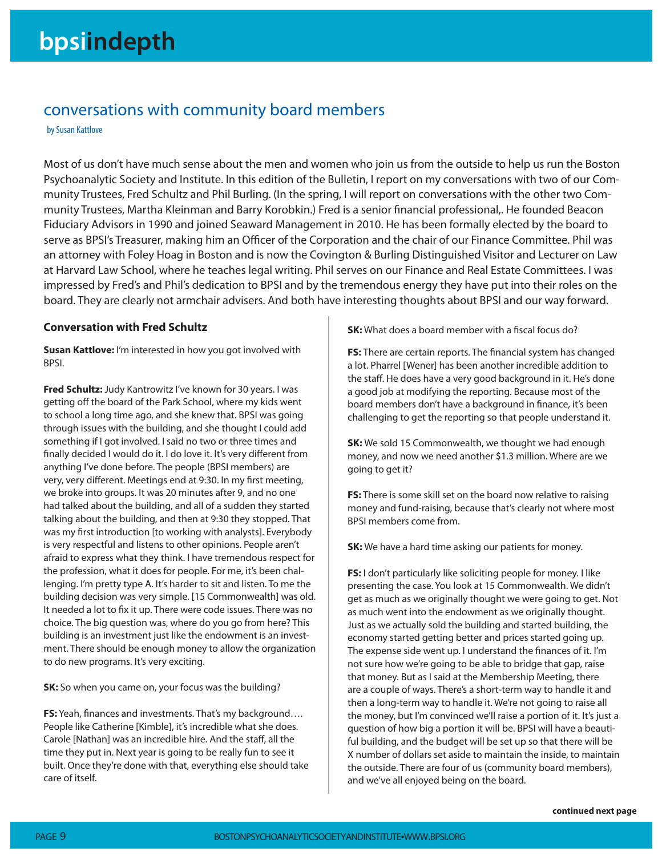### conversations with community board members

by Susan Kattlove

Most of us don't have much sense about the men and women who join us from the outside to help us run the Boston Psychoanalytic Society and Institute. In this edition of the Bulletin, I report on my conversations with two of our Community Trustees, Fred Schultz and Phil Burling. (In the spring, I will report on conversations with the other two Community Trustees, Martha Kleinman and Barry Korobkin.) Fred is a senior financial professional,. He founded Beacon Fiduciary Advisors in 1990 and joined Seaward Management in 2010. He has been formally elected by the board to serve as BPSI's Treasurer, making him an Officer of the Corporation and the chair of our Finance Committee. Phil was an attorney with Foley Hoag in Boston and is now the Covington & Burling Distinguished Visitor and Lecturer on Law at Harvard Law School, where he teaches legal writing. Phil serves on our Finance and Real Estate Committees. I was impressed by Fred's and Phil's dedication to BPSI and by the tremendous energy they have put into their roles on the board. They are clearly not armchair advisers. And both have interesting thoughts about BPSI and our way forward.

#### **Conversation with Fred Schultz**

**Susan Kattlove:** I'm interested in how you got involved with BPSI.

**Fred Schultz:** Judy Kantrowitz I've known for 30 years. I was getting off the board of the Park School, where my kids went to school a long time ago, and she knew that. BPSI was going through issues with the building, and she thought I could add something if I got involved. I said no two or three times and finally decided I would do it. I do love it. It's very different from anything I've done before. The people (BPSI members) are very, very different. Meetings end at 9:30. In my first meeting, we broke into groups. It was 20 minutes after 9, and no one had talked about the building, and all of a sudden they started talking about the building, and then at 9:30 they stopped. That was my first introduction [to working with analysts]. Everybody is very respectful and listens to other opinions. People aren't afraid to express what they think. I have tremendous respect for the profession, what it does for people. For me, it's been challenging. I'm pretty type A. It's harder to sit and listen. To me the building decision was very simple. [15 Commonwealth] was old. It needed a lot to fix it up. There were code issues. There was no choice. The big question was, where do you go from here? This building is an investment just like the endowment is an investment. There should be enough money to allow the organization to do new programs. It's very exciting.

**SK:** So when you came on, your focus was the building?

**FS:** Yeah, finances and investments. That's my background.... People like Catherine [Kimble], it's incredible what she does. Carole [Nathan] was an incredible hire. And the staff, all the time they put in. Next year is going to be really fun to see it built. Once they're done with that, everything else should take care of itself.

**SK:** What does a board member with a fiscal focus do?

**FS:** There are certain reports. The financial system has changed a lot. Pharrel [Wener] has been another incredible addition to the staff. He does have a very good background in it. He's done a good job at modifying the reporting. Because most of the board members don't have a background in finance, it's been challenging to get the reporting so that people understand it.

**SK:** We sold 15 Commonwealth, we thought we had enough money, and now we need another \$1.3 million. Where are we going to get it?

**FS:** There is some skill set on the board now relative to raising money and fund-raising, because that's clearly not where most BPSI members come from.

**SK:** We have a hard time asking our patients for money.

**FS:** I don't particularly like soliciting people for money. I like presenting the case. You look at 15 Commonwealth. We didn't get as much as we originally thought we were going to get. Not as much went into the endowment as we originally thought. Just as we actually sold the building and started building, the economy started getting better and prices started going up. The expense side went up. I understand the finances of it. I'm not sure how we're going to be able to bridge that gap, raise that money. But as I said at the Membership Meeting, there are a couple of ways. There's a short-term way to handle it and then a long-term way to handle it. We're not going to raise all the money, but I'm convinced we'll raise a portion of it. It's just a question of how big a portion it will be. BPSI will have a beautiful building, and the budget will be set up so that there will be X number of dollars set aside to maintain the inside, to maintain the outside. There are four of us (community board members), and we've all enjoyed being on the board.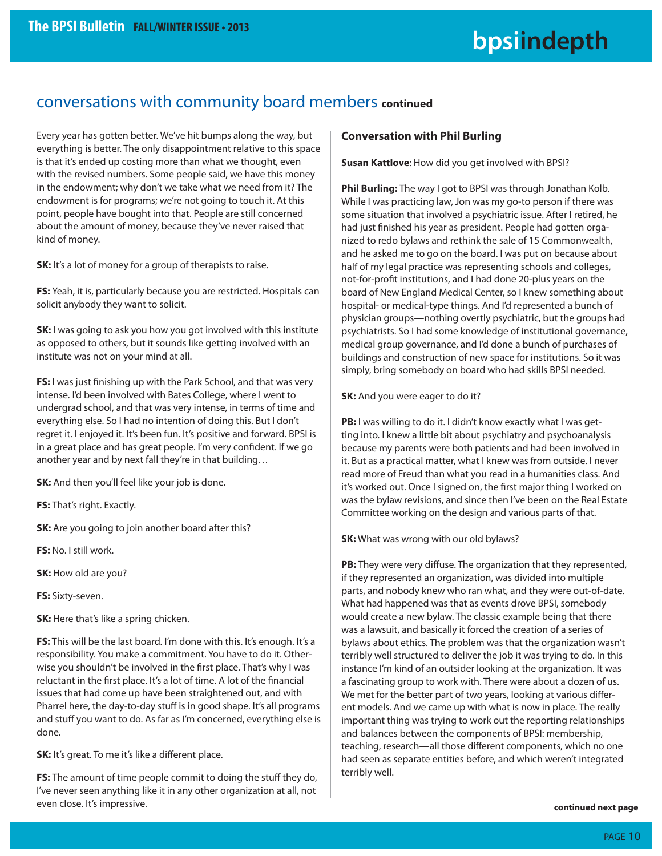### conversations with community board members **continued**

Every year has gotten better. We've hit bumps along the way, but everything is better. The only disappointment relative to this space is that it's ended up costing more than what we thought, even with the revised numbers. Some people said, we have this money in the endowment; why don't we take what we need from it? The endowment is for programs; we're not going to touch it. At this point, people have bought into that. People are still concerned about the amount of money, because they've never raised that kind of money.

**SK:** It's a lot of money for a group of therapists to raise.

**FS:** Yeah, it is, particularly because you are restricted. Hospitals can solicit anybody they want to solicit.

**SK:** I was going to ask you how you got involved with this institute as opposed to others, but it sounds like getting involved with an institute was not on your mind at all.

**FS:** I was just finishing up with the Park School, and that was very intense. I'd been involved with Bates College, where I went to undergrad school, and that was very intense, in terms of time and everything else. So I had no intention of doing this. But I don't regret it. I enjoyed it. It's been fun. It's positive and forward. BPSI is in a great place and has great people. I'm very confident. If we go another year and by next fall they're in that building…

**SK:** And then you'll feel like your job is done.

**FS:** That's right. Exactly.

**SK:** Are you going to join another board after this?

**FS:** No. I still work.

**SK:** How old are you?

**FS:** Sixty-seven.

**SK:** Here that's like a spring chicken.

**FS:** This will be the last board. I'm done with this. It's enough. It's a responsibility. You make a commitment. You have to do it. Otherwise you shouldn't be involved in the first place. That's why I was reluctant in the first place. It's a lot of time. A lot of the financial issues that had come up have been straightened out, and with Pharrel here, the day-to-day stuff is in good shape. It's all programs and stuff you want to do. As far as I'm concerned, everything else is done.

**SK:** It's great. To me it's like a different place.

**FS:** The amount of time people commit to doing the stuff they do, I've never seen anything like it in any other organization at all, not even close. It's impressive.

#### **Conversation with Phil Burling**

**Susan Kattlove**: How did you get involved with BPSI?

**Phil Burling:** The way I got to BPSI was through Jonathan Kolb. While I was practicing law, Jon was my go-to person if there was some situation that involved a psychiatric issue. After I retired, he had just finished his year as president. People had gotten organized to redo bylaws and rethink the sale of 15 Commonwealth, and he asked me to go on the board. I was put on because about half of my legal practice was representing schools and colleges, not-for-profit institutions, and I had done 20-plus years on the board of New England Medical Center, so I knew something about hospital- or medical-type things. And I'd represented a bunch of physician groups—nothing overtly psychiatric, but the groups had psychiatrists. So I had some knowledge of institutional governance, medical group governance, and I'd done a bunch of purchases of buildings and construction of new space for institutions. So it was simply, bring somebody on board who had skills BPSI needed.

**SK:** And you were eager to do it?

**PB:** I was willing to do it. I didn't know exactly what I was getting into. I knew a little bit about psychiatry and psychoanalysis because my parents were both patients and had been involved in it. But as a practical matter, what I knew was from outside. I never read more of Freud than what you read in a humanities class. And it's worked out. Once I signed on, the first major thing I worked on was the bylaw revisions, and since then I've been on the Real Estate Committee working on the design and various parts of that.

**SK:** What was wrong with our old bylaws?

PB: They were very diffuse. The organization that they represented, if they represented an organization, was divided into multiple parts, and nobody knew who ran what, and they were out-of-date. What had happened was that as events drove BPSI, somebody would create a new bylaw. The classic example being that there was a lawsuit, and basically it forced the creation of a series of bylaws about ethics. The problem was that the organization wasn't terribly well structured to deliver the job it was trying to do. In this instance I'm kind of an outsider looking at the organization. It was a fascinating group to work with. There were about a dozen of us. We met for the better part of two years, looking at various different models. And we came up with what is now in place. The really important thing was trying to work out the reporting relationships and balances between the components of BPSI: membership, teaching, research—all those different components, which no one had seen as separate entities before, and which weren't integrated terribly well.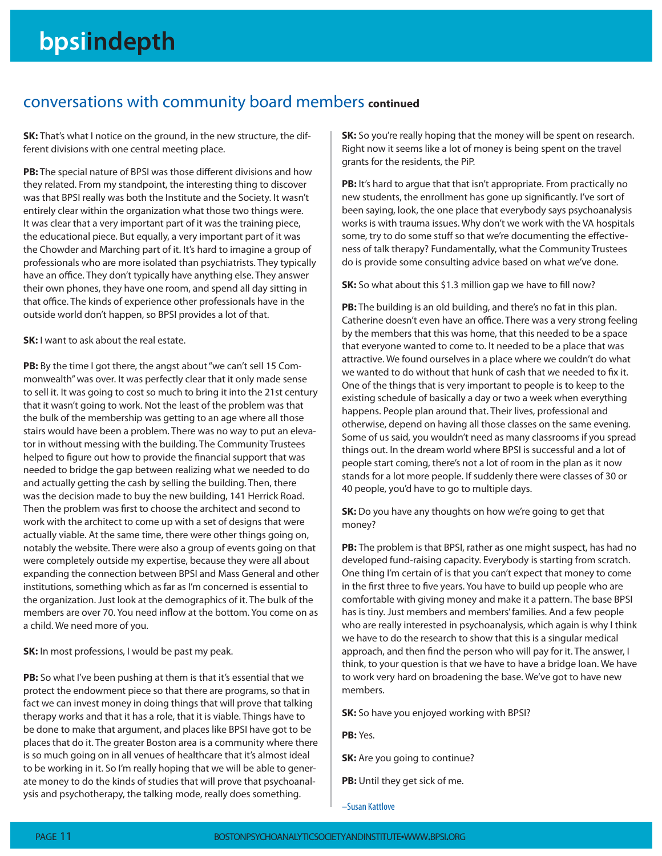### conversations with community board members **continued**

**SK:** That's what I notice on the ground, in the new structure, the different divisions with one central meeting place.

**PB:** The special nature of BPSI was those different divisions and how they related. From my standpoint, the interesting thing to discover was that BPSI really was both the Institute and the Society. It wasn't entirely clear within the organization what those two things were. It was clear that a very important part of it was the training piece, the educational piece. But equally, a very important part of it was the Chowder and Marching part of it. It's hard to imagine a group of professionals who are more isolated than psychiatrists. They typically have an office. They don't typically have anything else. They answer their own phones, they have one room, and spend all day sitting in that office. The kinds of experience other professionals have in the outside world don't happen, so BPSI provides a lot of that.

**SK:** I want to ask about the real estate.

**PB:** By the time I got there, the angst about "we can't sell 15 Commonwealth" was over. It was perfectly clear that it only made sense to sell it. It was going to cost so much to bring it into the 21st century that it wasn't going to work. Not the least of the problem was that the bulk of the membership was getting to an age where all those stairs would have been a problem. There was no way to put an elevator in without messing with the building. The Community Trustees helped to figure out how to provide the financial support that was needed to bridge the gap between realizing what we needed to do and actually getting the cash by selling the building. Then, there was the decision made to buy the new building, 141 Herrick Road. Then the problem was first to choose the architect and second to work with the architect to come up with a set of designs that were actually viable. At the same time, there were other things going on, notably the website. There were also a group of events going on that were completely outside my expertise, because they were all about expanding the connection between BPSI and Mass General and other institutions, something which as far as I'm concerned is essential to the organization. Just look at the demographics of it. The bulk of the members are over 70. You need inflow at the bottom. You come on as a child. We need more of you.

**SK:** In most professions, I would be past my peak.

**PB:** So what I've been pushing at them is that it's essential that we protect the endowment piece so that there are programs, so that in fact we can invest money in doing things that will prove that talking therapy works and that it has a role, that it is viable. Things have to be done to make that argument, and places like BPSI have got to be places that do it. The greater Boston area is a community where there is so much going on in all venues of healthcare that it's almost ideal to be working in it. So I'm really hoping that we will be able to generate money to do the kinds of studies that will prove that psychoanalysis and psychotherapy, the talking mode, really does something.

**SK:** So you're really hoping that the money will be spent on research. Right now it seems like a lot of money is being spent on the travel grants for the residents, the PiP.

**PB:** It's hard to argue that that isn't appropriate. From practically no new students, the enrollment has gone up significantly. I've sort of been saying, look, the one place that everybody says psychoanalysis works is with trauma issues. Why don't we work with the VA hospitals some, try to do some stuff so that we're documenting the effectiveness of talk therapy? Fundamentally, what the Community Trustees do is provide some consulting advice based on what we've done.

**SK:** So what about this \$1.3 million gap we have to fill now?

**PB:** The building is an old building, and there's no fat in this plan. Catherine doesn't even have an office. There was a very strong feeling by the members that this was home, that this needed to be a space that everyone wanted to come to. It needed to be a place that was attractive. We found ourselves in a place where we couldn't do what we wanted to do without that hunk of cash that we needed to fix it. One of the things that is very important to people is to keep to the existing schedule of basically a day or two a week when everything happens. People plan around that. Their lives, professional and otherwise, depend on having all those classes on the same evening. Some of us said, you wouldn't need as many classrooms if you spread things out. In the dream world where BPSI is successful and a lot of people start coming, there's not a lot of room in the plan as it now stands for a lot more people. If suddenly there were classes of 30 or 40 people, you'd have to go to multiple days.

**SK:** Do you have any thoughts on how we're going to get that money?

**PB:** The problem is that BPSI, rather as one might suspect, has had no developed fund-raising capacity. Everybody is starting from scratch. One thing I'm certain of is that you can't expect that money to come in the first three to five years. You have to build up people who are comfortable with giving money and make it a pattern. The base BPSI has is tiny. Just members and members' families. And a few people who are really interested in psychoanalysis, which again is why I think we have to do the research to show that this is a singular medical approach, and then find the person who will pay for it. The answer, I think, to your question is that we have to have a bridge loan. We have to work very hard on broadening the base. We've got to have new members.

**SK:** So have you enjoyed working with BPSI?

**PB:** Yes.

**SK:** Are you going to continue?

**PB:** Until they get sick of me.

–Susan Kattlove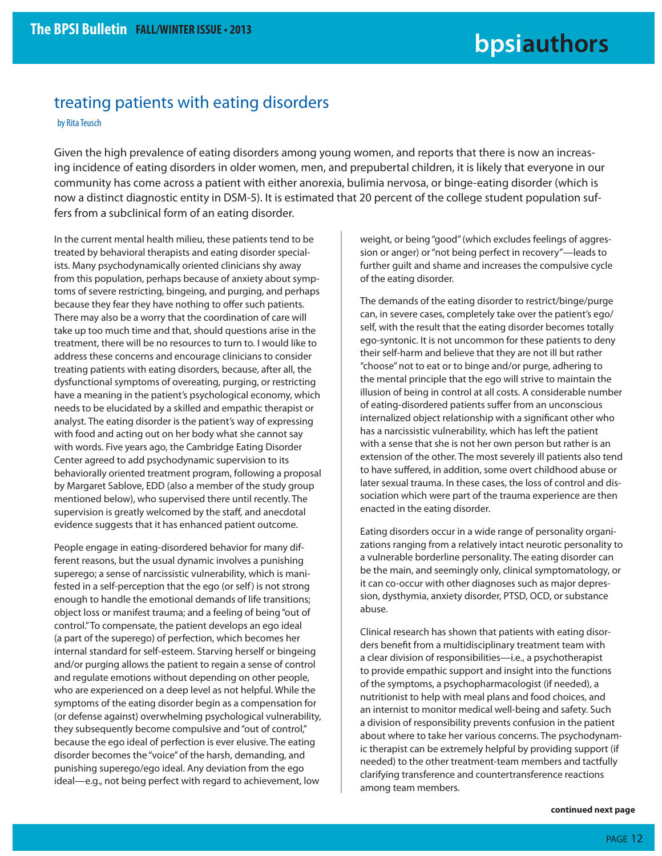### treating patients with eating disorders

by Rita Teusch

Given the high prevalence of eating disorders among young women, and reports that there is now an increasing incidence of eating disorders in older women, men, and prepubertal children, it is likely that everyone in our community has come across a patient with either anorexia, bulimia nervosa, or binge-eating disorder (which is now a distinct diagnostic entity in DSM-5). It is estimated that 20 percent of the college student population suffers from a subclinical form of an eating disorder.

In the current mental health milieu, these patients tend to be treated by behavioral therapists and eating disorder specialists. Many psychodynamically oriented clinicians shy away from this population, perhaps because of anxiety about symptoms of severe restricting, bingeing, and purging, and perhaps because they fear they have nothing to offer such patients. There may also be a worry that the coordination of care will take up too much time and that, should questions arise in the treatment, there will be no resources to turn to. I would like to address these concerns and encourage clinicians to consider treating patients with eating disorders, because, after all, the dysfunctional symptoms of overeating, purging, or restricting have a meaning in the patient's psychological economy, which needs to be elucidated by a skilled and empathic therapist or analyst. The eating disorder is the patient's way of expressing with food and acting out on her body what she cannot say with words. Five years ago, the Cambridge Eating Disorder Center agreed to add psychodynamic supervision to its behaviorally oriented treatment program, following a proposal by Margaret Sablove, EDD (also a member of the study group mentioned below), who supervised there until recently. The supervision is greatly welcomed by the staff, and anecdotal evidence suggests that it has enhanced patient outcome.

People engage in eating-disordered behavior for many different reasons, but the usual dynamic involves a punishing superego; a sense of narcissistic vulnerability, which is manifested in a self-perception that the ego (or self) is not strong enough to handle the emotional demands of life transitions; object loss or manifest trauma; and a feeling of being "out of control." To compensate, the patient develops an ego ideal (a part of the superego) of perfection, which becomes her internal standard for self-esteem. Starving herself or bingeing and/or purging allows the patient to regain a sense of control and regulate emotions without depending on other people, who are experienced on a deep level as not helpful. While the symptoms of the eating disorder begin as a compensation for (or defense against) overwhelming psychological vulnerability, they subsequently become compulsive and "out of control," because the ego ideal of perfection is ever elusive. The eating disorder becomes the "voice" of the harsh, demanding, and punishing superego/ego ideal. Any deviation from the ego ideal—e.g., not being perfect with regard to achievement, low

weight, or being "good" (which excludes feelings of aggression or anger) or "not being perfect in recovery"—leads to further guilt and shame and increases the compulsive cycle of the eating disorder.

The demands of the eating disorder to restrict/binge/purge can, in severe cases, completely take over the patient's ego/ self, with the result that the eating disorder becomes totally ego-syntonic. It is not uncommon for these patients to deny their self-harm and believe that they are not ill but rather "choose" not to eat or to binge and/or purge, adhering to the mental principle that the ego will strive to maintain the illusion of being in control at all costs. A considerable number of eating-disordered patients suffer from an unconscious internalized object relationship with a significant other who has a narcissistic vulnerability, which has left the patient with a sense that she is not her own person but rather is an extension of the other. The most severely ill patients also tend to have suffered, in addition, some overt childhood abuse or later sexual trauma. In these cases, the loss of control and dissociation which were part of the trauma experience are then enacted in the eating disorder.

Eating disorders occur in a wide range of personality organizations ranging from a relatively intact neurotic personality to a vulnerable borderline personality. The eating disorder can be the main, and seemingly only, clinical symptomatology, or it can co-occur with other diagnoses such as major depression, dysthymia, anxiety disorder, PTSD, OCD, or substance abuse.

Clinical research has shown that patients with eating disorders benefit from a multidisciplinary treatment team with a clear division of responsibilities—i.e., a psychotherapist to provide empathic support and insight into the functions of the symptoms, a psychopharmacologist (if needed), a nutritionist to help with meal plans and food choices, and an internist to monitor medical well-being and safety. Such a division of responsibility prevents confusion in the patient about where to take her various concerns. The psychodynamic therapist can be extremely helpful by providing support (if needed) to the other treatment-team members and tactfully clarifying transference and countertransference reactions among team members.

**continued next page**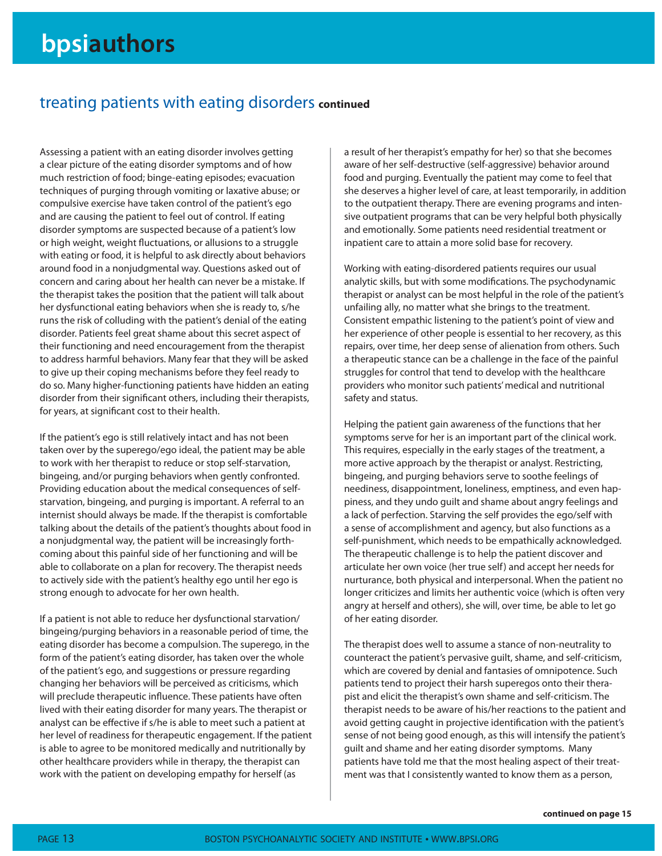### treating patients with eating disorders **continued**

Assessing a patient with an eating disorder involves getting a clear picture of the eating disorder symptoms and of how much restriction of food; binge-eating episodes; evacuation techniques of purging through vomiting or laxative abuse; or compulsive exercise have taken control of the patient's ego and are causing the patient to feel out of control. If eating disorder symptoms are suspected because of a patient's low or high weight, weight fluctuations, or allusions to a struggle with eating or food, it is helpful to ask directly about behaviors around food in a nonjudgmental way. Questions asked out of concern and caring about her health can never be a mistake. If the therapist takes the position that the patient will talk about her dysfunctional eating behaviors when she is ready to, s/he runs the risk of colluding with the patient's denial of the eating disorder. Patients feel great shame about this secret aspect of their functioning and need encouragement from the therapist to address harmful behaviors. Many fear that they will be asked to give up their coping mechanisms before they feel ready to do so. Many higher-functioning patients have hidden an eating disorder from their significant others, including their therapists, for years, at significant cost to their health.

If the patient's ego is still relatively intact and has not been taken over by the superego/ego ideal, the patient may be able to work with her therapist to reduce or stop self-starvation, bingeing, and/or purging behaviors when gently confronted. Providing education about the medical consequences of selfstarvation, bingeing, and purging is important. A referral to an internist should always be made. If the therapist is comfortable talking about the details of the patient's thoughts about food in a nonjudgmental way, the patient will be increasingly forthcoming about this painful side of her functioning and will be able to collaborate on a plan for recovery. The therapist needs to actively side with the patient's healthy ego until her ego is strong enough to advocate for her own health.

If a patient is not able to reduce her dysfunctional starvation/ bingeing/purging behaviors in a reasonable period of time, the eating disorder has become a compulsion. The superego, in the form of the patient's eating disorder, has taken over the whole of the patient's ego, and suggestions or pressure regarding changing her behaviors will be perceived as criticisms, which will preclude therapeutic influence. These patients have often lived with their eating disorder for many years. The therapist or analyst can be effective if s/he is able to meet such a patient at her level of readiness for therapeutic engagement. If the patient is able to agree to be monitored medically and nutritionally by other healthcare providers while in therapy, the therapist can work with the patient on developing empathy for herself (as

a result of her therapist's empathy for her) so that she becomes aware of her self-destructive (self-aggressive) behavior around food and purging. Eventually the patient may come to feel that she deserves a higher level of care, at least temporarily, in addition to the outpatient therapy. There are evening programs and intensive outpatient programs that can be very helpful both physically and emotionally. Some patients need residential treatment or inpatient care to attain a more solid base for recovery.

Working with eating-disordered patients requires our usual analytic skills, but with some modifications. The psychodynamic therapist or analyst can be most helpful in the role of the patient's unfailing ally, no matter what she brings to the treatment. Consistent empathic listening to the patient's point of view and her experience of other people is essential to her recovery, as this repairs, over time, her deep sense of alienation from others. Such a therapeutic stance can be a challenge in the face of the painful struggles for control that tend to develop with the healthcare providers who monitor such patients' medical and nutritional safety and status.

Helping the patient gain awareness of the functions that her symptoms serve for her is an important part of the clinical work. This requires, especially in the early stages of the treatment, a more active approach by the therapist or analyst. Restricting, bingeing, and purging behaviors serve to soothe feelings of neediness, disappointment, loneliness, emptiness, and even happiness, and they undo guilt and shame about angry feelings and a lack of perfection. Starving the self provides the ego/self with a sense of accomplishment and agency, but also functions as a self-punishment, which needs to be empathically acknowledged. The therapeutic challenge is to help the patient discover and articulate her own voice (her true self) and accept her needs for nurturance, both physical and interpersonal. When the patient no longer criticizes and limits her authentic voice (which is often very angry at herself and others), she will, over time, be able to let go of her eating disorder.

The therapist does well to assume a stance of non-neutrality to counteract the patient's pervasive guilt, shame, and self-criticism, which are covered by denial and fantasies of omnipotence. Such patients tend to project their harsh superegos onto their therapist and elicit the therapist's own shame and self-criticism. The therapist needs to be aware of his/her reactions to the patient and avoid getting caught in projective identification with the patient's sense of not being good enough, as this will intensify the patient's guilt and shame and her eating disorder symptoms. Many patients have told me that the most healing aspect of their treatment was that I consistently wanted to know them as a person,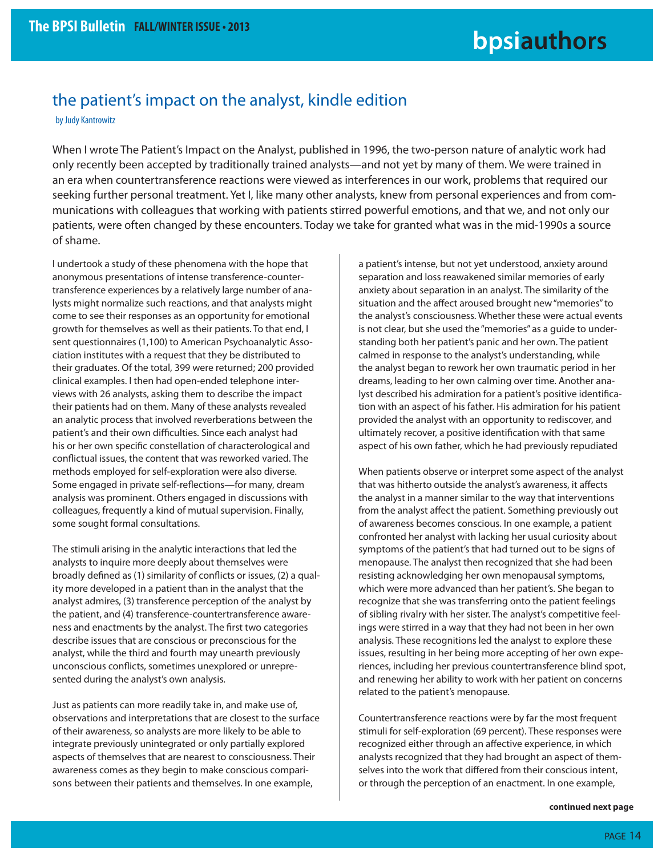### the patient's impact on the analyst, kindle edition

by Judy Kantrowitz

When I wrote The Patient's Impact on the Analyst, published in 1996, the two-person nature of analytic work had only recently been accepted by traditionally trained analysts—and not yet by many of them. We were trained in an era when countertransference reactions were viewed as interferences in our work, problems that required our seeking further personal treatment. Yet I, like many other analysts, knew from personal experiences and from communications with colleagues that working with patients stirred powerful emotions, and that we, and not only our patients, were often changed by these encounters. Today we take for granted what was in the mid-1990s a source of shame.

I undertook a study of these phenomena with the hope that anonymous presentations of intense transference-countertransference experiences by a relatively large number of analysts might normalize such reactions, and that analysts might come to see their responses as an opportunity for emotional growth for themselves as well as their patients. To that end, I sent questionnaires (1,100) to American Psychoanalytic Association institutes with a request that they be distributed to their graduates. Of the total, 399 were returned; 200 provided clinical examples. I then had open-ended telephone interviews with 26 analysts, asking them to describe the impact their patients had on them. Many of these analysts revealed an analytic process that involved reverberations between the patient's and their own difficulties. Since each analyst had his or her own specific constellation of characterological and conflictual issues, the content that was reworked varied. The methods employed for self-exploration were also diverse. Some engaged in private self-reflections—for many, dream analysis was prominent. Others engaged in discussions with colleagues, frequently a kind of mutual supervision. Finally, some sought formal consultations.

The stimuli arising in the analytic interactions that led the analysts to inquire more deeply about themselves were broadly defined as (1) similarity of conflicts or issues, (2) a quality more developed in a patient than in the analyst that the analyst admires, (3) transference perception of the analyst by the patient, and (4) transference-countertransference awareness and enactments by the analyst. The first two categories describe issues that are conscious or preconscious for the analyst, while the third and fourth may unearth previously unconscious conflicts, sometimes unexplored or unrepresented during the analyst's own analysis.

Just as patients can more readily take in, and make use of, observations and interpretations that are closest to the surface of their awareness, so analysts are more likely to be able to integrate previously unintegrated or only partially explored aspects of themselves that are nearest to consciousness. Their awareness comes as they begin to make conscious comparisons between their patients and themselves. In one example,

a patient's intense, but not yet understood, anxiety around separation and loss reawakened similar memories of early anxiety about separation in an analyst. The similarity of the situation and the affect aroused brought new "memories" to the analyst's consciousness. Whether these were actual events is not clear, but she used the "memories" as a guide to understanding both her patient's panic and her own. The patient calmed in response to the analyst's understanding, while the analyst began to rework her own traumatic period in her dreams, leading to her own calming over time. Another analyst described his admiration for a patient's positive identification with an aspect of his father. His admiration for his patient provided the analyst with an opportunity to rediscover, and ultimately recover, a positive identification with that same aspect of his own father, which he had previously repudiated

When patients observe or interpret some aspect of the analyst that was hitherto outside the analyst's awareness, it affects the analyst in a manner similar to the way that interventions from the analyst affect the patient. Something previously out of awareness becomes conscious. In one example, a patient confronted her analyst with lacking her usual curiosity about symptoms of the patient's that had turned out to be signs of menopause. The analyst then recognized that she had been resisting acknowledging her own menopausal symptoms, which were more advanced than her patient's. She began to recognize that she was transferring onto the patient feelings of sibling rivalry with her sister. The analyst's competitive feelings were stirred in a way that they had not been in her own analysis. These recognitions led the analyst to explore these issues, resulting in her being more accepting of her own experiences, including her previous countertransference blind spot, and renewing her ability to work with her patient on concerns related to the patient's menopause.

Countertransference reactions were by far the most frequent stimuli for self-exploration (69 percent). These responses were recognized either through an affective experience, in which analysts recognized that they had brought an aspect of themselves into the work that differed from their conscious intent, or through the perception of an enactment. In one example,

**continued next page**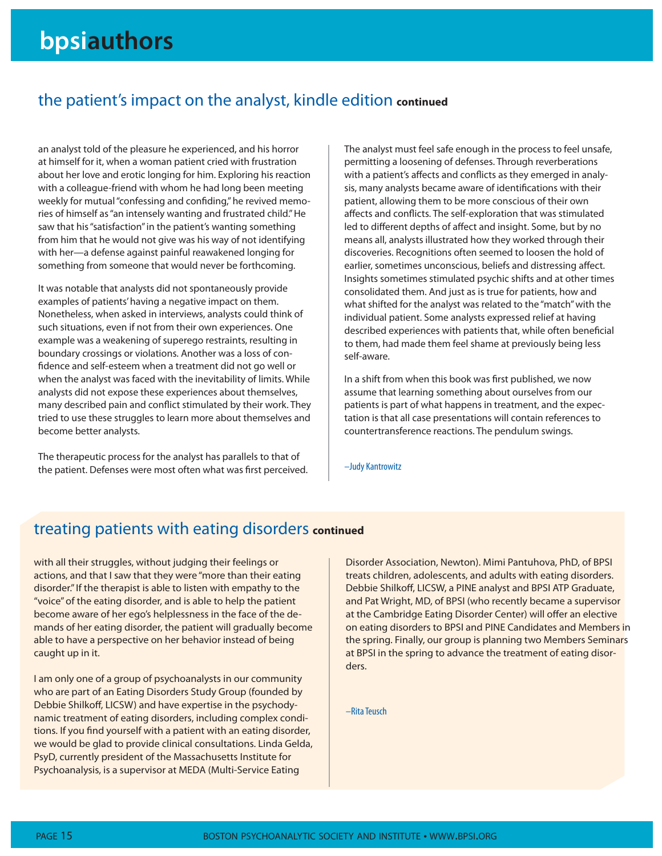### the patient's impact on the analyst, kindle edition **continued**

an analyst told of the pleasure he experienced, and his horror at himself for it, when a woman patient cried with frustration about her love and erotic longing for him. Exploring his reaction with a colleague-friend with whom he had long been meeting weekly for mutual "confessing and confiding," he revived memories of himself as "an intensely wanting and frustrated child." He saw that his "satisfaction" in the patient's wanting something from him that he would not give was his way of not identifying with her—a defense against painful reawakened longing for something from someone that would never be forthcoming.

It was notable that analysts did not spontaneously provide examples of patients' having a negative impact on them. Nonetheless, when asked in interviews, analysts could think of such situations, even if not from their own experiences. One example was a weakening of superego restraints, resulting in boundary crossings or violations. Another was a loss of confidence and self-esteem when a treatment did not go well or when the analyst was faced with the inevitability of limits. While analysts did not expose these experiences about themselves, many described pain and conflict stimulated by their work. They tried to use these struggles to learn more about themselves and become better analysts.

The therapeutic process for the analyst has parallels to that of the patient. Defenses were most often what was first perceived. The analyst must feel safe enough in the process to feel unsafe, permitting a loosening of defenses. Through reverberations with a patient's affects and conflicts as they emerged in analysis, many analysts became aware of identifications with their patient, allowing them to be more conscious of their own affects and conflicts. The self-exploration that was stimulated led to different depths of affect and insight. Some, but by no means all, analysts illustrated how they worked through their discoveries. Recognitions often seemed to loosen the hold of earlier, sometimes unconscious, beliefs and distressing affect. Insights sometimes stimulated psychic shifts and at other times consolidated them. And just as is true for patients, how and what shifted for the analyst was related to the "match" with the individual patient. Some analysts expressed relief at having described experiences with patients that, while often beneficial to them, had made them feel shame at previously being less self-aware.

In a shift from when this book was first published, we now assume that learning something about ourselves from our patients is part of what happens in treatment, and the expectation is that all case presentations will contain references to countertransference reactions. The pendulum swings.

–Judy Kantrowitz

### treating patients with eating disorders **continued**

with all their struggles, without judging their feelings or actions, and that I saw that they were "more than their eating disorder." If the therapist is able to listen with empathy to the "voice" of the eating disorder, and is able to help the patient become aware of her ego's helplessness in the face of the demands of her eating disorder, the patient will gradually become able to have a perspective on her behavior instead of being caught up in it.

I am only one of a group of psychoanalysts in our community who are part of an Eating Disorders Study Group (founded by Debbie Shilkoff, LICSW) and have expertise in the psychodynamic treatment of eating disorders, including complex conditions. If you find yourself with a patient with an eating disorder, we would be glad to provide clinical consultations. Linda Gelda, PsyD, currently president of the Massachusetts Institute for Psychoanalysis, is a supervisor at MEDA (Multi-Service Eating

Disorder Association, Newton). Mimi Pantuhova, PhD, of BPSI treats children, adolescents, and adults with eating disorders. Debbie Shilkoff, LICSW, a PINE analyst and BPSI ATP Graduate, and Pat Wright, MD, of BPSI (who recently became a supervisor at the Cambridge Eating Disorder Center) will offer an elective on eating disorders to BPSI and PINE Candidates and Members in the spring. Finally, our group is planning two Members Seminars at BPSI in the spring to advance the treatment of eating disorders.

–Rita Teusch